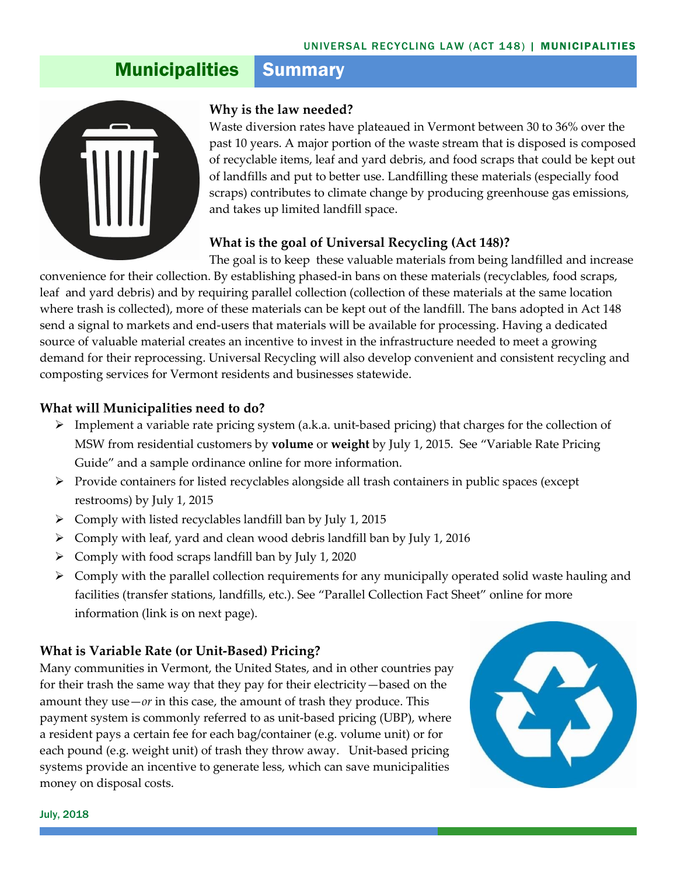# **Municipalities Summary**



#### **Why is the law needed?**

Waste diversion rates have plateaued in Vermont between 30 to 36% over the past 10 years. A major portion of the waste stream that is disposed is composed of recyclable items, leaf and yard debris, and food scraps that could be kept out of landfills and put to better use. Landfilling these materials (especially food scraps) contributes to climate change by producing greenhouse gas emissions, and takes up limited landfill space.

#### **What is the goal of Universal Recycling (Act 148)?**

The goal is to keep these valuable materials from being landfilled and increase convenience for their collection. By establishing phased-in bans on these materials (recyclables, food scraps, leaf and yard debris) and by requiring parallel collection (collection of these materials at the same location where trash is collected), more of these materials can be kept out of the landfill. The bans adopted in Act 148 send a signal to markets and end-users that materials will be available for processing. Having a dedicated source of valuable material creates an incentive to invest in the infrastructure needed to meet a growing demand for their reprocessing. Universal Recycling will also develop convenient and consistent recycling and composting services for Vermont residents and businesses statewide.

### **What will Municipalities need to do?**

- ➢ Implement a variable rate pricing system (a.k.a. unit-based pricing) that charges for the collection of MSW from residential customers by **volume** or **weight** by July 1, 2015. See "Variable Rate Pricing Guide" and a sample ordinance online for more information.
- $\triangleright$  Provide containers for listed recyclables alongside all trash containers in public spaces (except restrooms) by July 1, 2015
- $\triangleright$  Comply with listed recyclables landfill ban by July 1, 2015
- ➢ Comply with leaf, yard and clean wood debris landfill ban by July 1, 2016
- ➢ Comply with food scraps landfill ban by July 1, 2020
- ➢ Comply with the parallel collection requirements for any municipally operated solid waste hauling and facilities (transfer stations, landfills, etc.). See "Parallel Collection Fact Sheet" online for more information (link is on next page).

# **What is Variable Rate (or Unit-Based) Pricing?**

Many communities in Vermont, the United States, and in other countries pay for their trash the same way that they pay for their electricity—based on the amount they use $-or$  in this case, the amount of trash they produce. This payment system is commonly referred to as unit-based pricing (UBP), where a resident pays a certain fee for each bag/container (e.g. volume unit) or for each pound (e.g. weight unit) of trash they throw away. Unit-based pricing systems provide an incentive to generate less, which can save municipalities money on disposal costs.